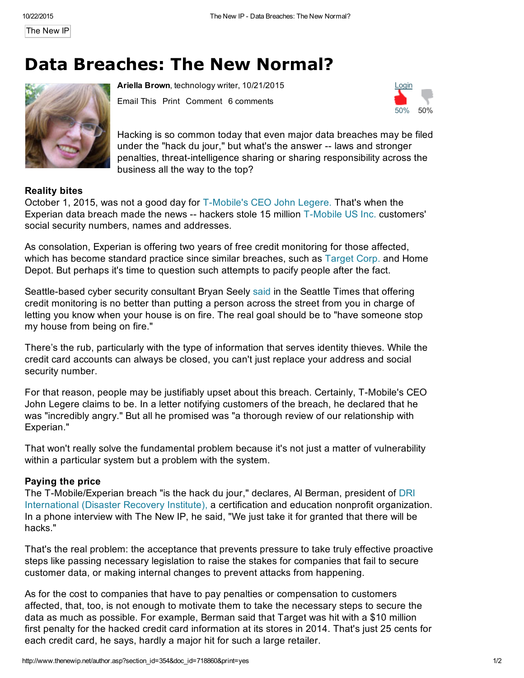The [New](http://www.thenewip.net/) IP

## Data Breaches: The New Normal?



Ariella Brown, [technology](http://www.thenewip.net/bloggers.asp#Ariella_Brown) writer, 10/21/2015

[Email](http://www.thenewip.net/email.asp) This [Print](http://www.thenewip.net/author.asp?section_id=354&doc_id=718860&print=yes) Comment 6 comments



Hacking is so common today that even major data breaches may be filed under the "hack du jour," but what's the answer -- laws and stronger penalties, threat-intelligence sharing or sharing responsibility across the business all the way to the top?

## Reality bites

October 1, 2015, was not a good day for T-Mobile's CEO John Legere. That's when the Experian data breach made the news -- hackers stole 15 million T-Mobile US Inc. customers' social security numbers, names and addresses.

As consolation, Experian is offering two years of free credit monitoring for those affected, which has become standard practice since similar breaches, such as [Target](http://www.thenewip.net/complink_redirect.asp?vl_id=13627) Corp. and Home Depot. But perhaps it's time to question such attempts to pacify people after the fact.

Seattle-based cyber security consultant Bryan Seely [said](http://www.seattletimes.com/business/technology/cyberattack-on-experian-may-affect-millions-of-t-mobile-customers/) in the Seattle Times that offering credit monitoring is no better than putting a person across the street from you in charge of letting you know when your house is on fire. The real goal should be to "have someone stop my house from being on fire."

There's the rub, particularly with the type of information that serves identity thieves. While the credit card accounts can always be closed, you can't just replace your address and social security number.

For that reason, people may be justifiably upset about this breach. Certainly, T-Mobile's CEO John Legere claims to be. In a letter notifying customers of the breach, he declared that he was "incredibly angry." But all he promised was "a thorough review of our relationship with Experian."

That won't really solve the fundamental problem because it's not just a matter of vulnerability within a particular system but a problem with the system.

## Paying the price

The T-Mobile/Experian breach "is the hack du jour," declares, Al Berman, president of DRI International (Disaster Recovery Institute), a certification and education nonprofit organization. In a phone interview with The New IP, he said, "We just take it for granted that there will be hacks."

That's the real problem: the acceptance that prevents pressure to take truly effective proactive steps like passing necessary legislation to raise the stakes for companies that fail to secure customer data, or making internal changes to prevent attacks from happening.

As for the cost to companies that have to pay penalties or compensation to customers affected, that, too, is not enough to motivate them to take the necessary steps to secure the data as much as possible. For example, Berman said that Target was hit with a \$10 million first penalty for the hacked credit card information at its stores in 2014. That's just 25 cents for each credit card, he says, hardly a major hit for such a large retailer.